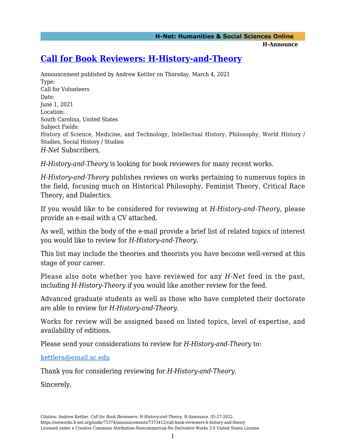**H-Announce** 

## **[Call for Book Reviewers: H-History-and-Theory](https://networks.h-net.org/node/73374/announcements/7373412/call-book-reviewers-h-history-and-theory)**

Announcement published by Andrew Kettler on Thursday, March 4, 2021 Type: Call for Volunteers Date: June 1, 2021 Location: South Carolina, United States Subject Fields: History of Science, Medicine, and Technology, Intellectual History, Philosophy, World History / Studies, Social History / Studies *H-Net* Subscribers*,*

*H-History-and-Theory* is looking for book reviewers for many recent works.

*H-History-and-Theory* publishes reviews on works pertaining to numerous topics in the field, focusing much on Historical Philosophy, Feminist Theory, Critical Race Theory, and Dialectics.

If you would like to be considered for reviewing at *H-History-and-Theory*, please provide an e-mail with a CV attached.

As well, within the body of the e-mail provide a brief list of related topics of interest you would like to review for *H-History-and-Theory*.

This list may include the theories and theorists you have become well-versed at this stage of your career.

Please also note whether you have reviewed for any *H-Net* feed in the past, including *H-History-Theory* if you would like another review for the feed.

Advanced graduate students as well as those who have completed their doctorate are able to review for *H-History-and-Theory.*

Works for review will be assigned based on listed topics, level of expertise, and availability of editions.

Please send your considerations to review for *H-History-and-Theory* to:

[kettlera@email.sc.edu](mailto:kettlera@email.sc.edu)

Thank you for considering reviewing for *H-History-and-Theory*.

Sincerely,